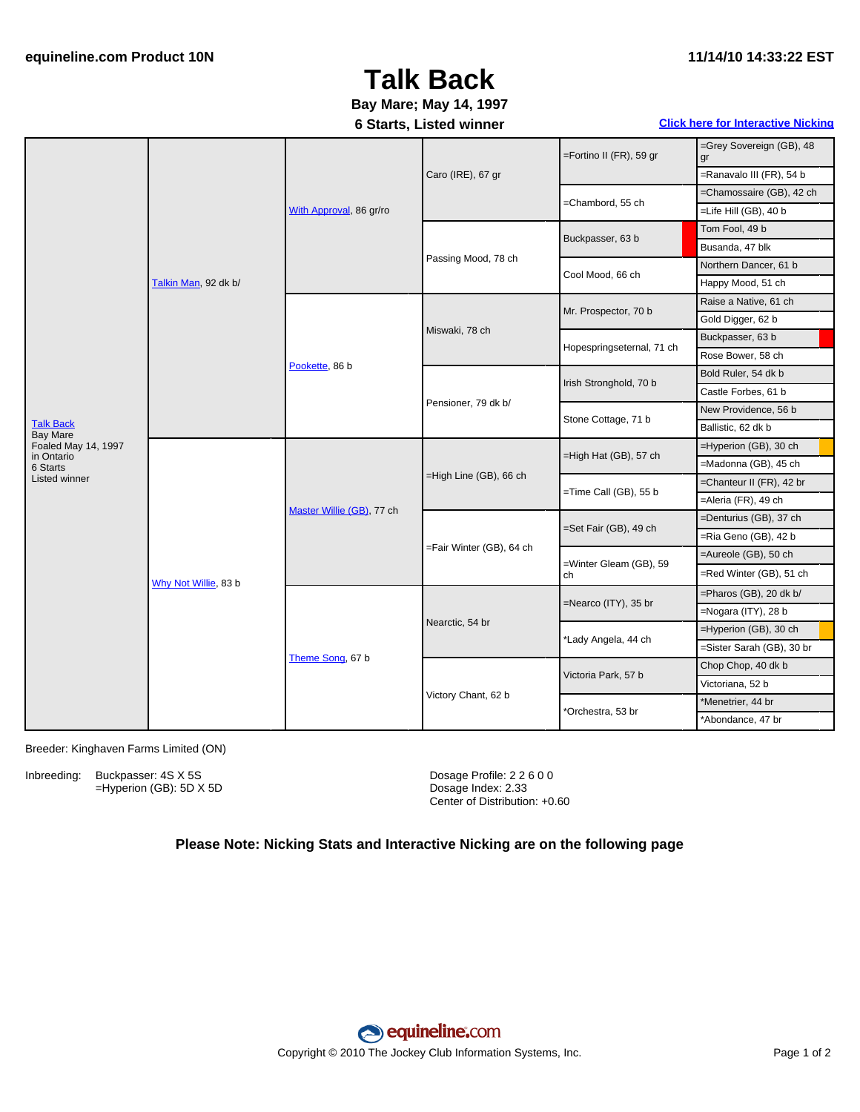#### **11/14/10 14:33:22 EST**

# **Talk Back**

## **Bay Mare; May 14, 1997**

### **6 Starts, Listed winner Click here for [Interactive](#page-1-0) Nicking**

| <b>Talk Back</b><br><b>Bay Mare</b><br>Foaled May 14, 1997<br>in Ontario | Talkin Man, 92 dk b/ | With Approval, 86 gr/ro   | Caro (IRE), 67 gr        | $=$ Fortino II (FR), 59 gr   | =Grey Sovereign (GB), 48<br>gr |
|--------------------------------------------------------------------------|----------------------|---------------------------|--------------------------|------------------------------|--------------------------------|
|                                                                          |                      |                           |                          |                              | =Ranavalo III (FR), 54 b       |
|                                                                          |                      |                           |                          | =Chambord, 55 ch             | =Chamossaire (GB), 42 ch       |
|                                                                          |                      |                           |                          |                              | =Life Hill (GB), 40 b          |
|                                                                          |                      |                           | Passing Mood, 78 ch      | Buckpasser, 63 b             | Tom Fool, 49 b                 |
|                                                                          |                      |                           |                          |                              | Busanda, 47 blk                |
|                                                                          |                      |                           |                          | Cool Mood, 66 ch             | Northern Dancer, 61 b          |
|                                                                          |                      |                           |                          |                              | Happy Mood, 51 ch              |
|                                                                          |                      | Pookette, 86 b            | Miswaki, 78 ch           | Mr. Prospector, 70 b         | Raise a Native, 61 ch          |
|                                                                          |                      |                           |                          |                              | Gold Digger, 62 b              |
|                                                                          |                      |                           |                          | Hopespringseternal, 71 ch    | Buckpasser, 63 b               |
|                                                                          |                      |                           |                          |                              | Rose Bower, 58 ch              |
|                                                                          |                      |                           | Pensioner, 79 dk b/      | Irish Stronghold, 70 b       | Bold Ruler, 54 dk b            |
|                                                                          |                      |                           |                          |                              | Castle Forbes, 61 b            |
|                                                                          |                      |                           |                          | Stone Cottage, 71 b          | New Providence, 56 b           |
|                                                                          |                      |                           |                          |                              | Ballistic, 62 dk b             |
|                                                                          | Why Not Willie, 83 b | Master Willie (GB), 77 ch | =High Line (GB), 66 ch   | =High Hat (GB), 57 ch        | =Hyperion (GB), 30 ch          |
| 6 Starts                                                                 |                      |                           |                          |                              | =Madonna (GB), 45 ch           |
| Listed winner                                                            |                      |                           |                          | =Time Call (GB), 55 b        | =Chanteur II (FR), 42 br       |
|                                                                          |                      |                           |                          |                              | =Aleria (FR), 49 ch            |
|                                                                          |                      |                           | =Fair Winter (GB), 64 ch | =Set Fair (GB), 49 ch        | =Denturius (GB), 37 ch         |
|                                                                          |                      |                           |                          |                              | =Ria Geno (GB), 42 b           |
|                                                                          |                      |                           |                          | =Winter Gleam (GB), 59<br>ch | =Aureole (GB), 50 ch           |
|                                                                          |                      |                           |                          |                              | =Red Winter (GB), 51 ch        |
|                                                                          |                      | Theme Song, 67 b          | Nearctic, 54 br          | =Nearco (ITY), 35 br         | =Pharos (GB), 20 dk b/         |
|                                                                          |                      |                           |                          |                              | =Nogara (ITY), 28 b            |
|                                                                          |                      |                           |                          | *Lady Angela, 44 ch          | =Hyperion (GB), 30 ch          |
|                                                                          |                      |                           |                          |                              | =Sister Sarah (GB), 30 br      |
|                                                                          |                      |                           | Victory Chant, 62 b      | Victoria Park, 57 b          | Chop Chop, 40 dk b             |
|                                                                          |                      |                           |                          |                              | Victoriana, 52 b               |
|                                                                          |                      |                           |                          | *Orchestra, 53 br            | *Menetrier, 44 br              |
|                                                                          |                      |                           |                          |                              | *Abondance, 47 br              |

Breeder: Kinghaven Farms Limited (ON)

Inbreeding: Buckpasser: 4S X 5S =Hyperion (GB): 5D X 5D Dosage Profile: 2 2 6 0 0 Dosage Index: 2.33 Center of Distribution: +0.60

### **Please Note: Nicking Stats and Interactive Nicking are on the following page**